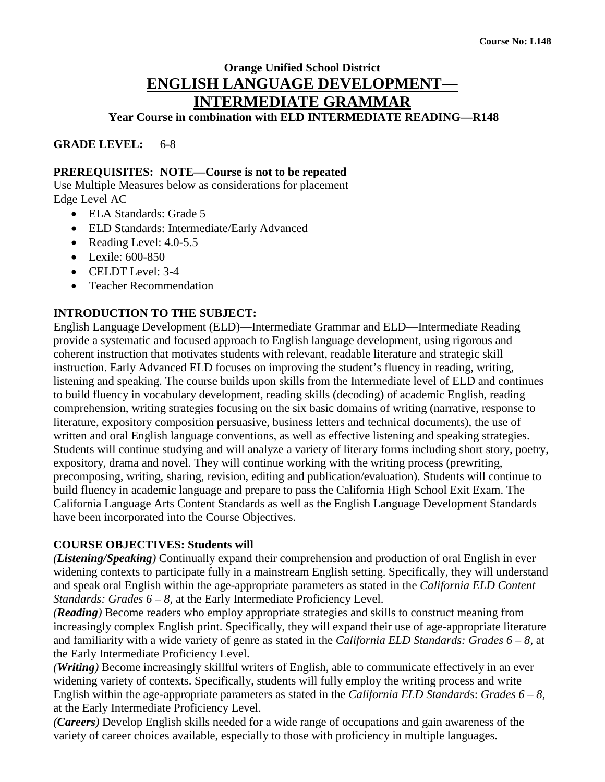# **Orange Unified School District ENGLISH LANGUAGE DEVELOPMENT— INTERMEDIATE GRAMMAR**

**Year Course in combination with ELD INTERMEDIATE READING—R148**

**GRADE LEVEL:** 6-8

#### **PREREQUISITES: NOTE—Course is not to be repeated**

Use Multiple Measures below as considerations for placement Edge Level AC

- ELA Standards: Grade 5
- ELD Standards: Intermediate/Early Advanced
- Reading Level: 4.0-5.5
- Lexile: 600-850
- CELDT Level: 3-4
- Teacher Recommendation

#### **INTRODUCTION TO THE SUBJECT:**

English Language Development (ELD)—Intermediate Grammar and ELD—Intermediate Reading provide a systematic and focused approach to English language development, using rigorous and coherent instruction that motivates students with relevant, readable literature and strategic skill instruction. Early Advanced ELD focuses on improving the student's fluency in reading, writing, listening and speaking. The course builds upon skills from the Intermediate level of ELD and continues to build fluency in vocabulary development, reading skills (decoding) of academic English, reading comprehension, writing strategies focusing on the six basic domains of writing (narrative, response to literature, expository composition persuasive, business letters and technical documents), the use of written and oral English language conventions, as well as effective listening and speaking strategies. Students will continue studying and will analyze a variety of literary forms including short story, poetry, expository, drama and novel. They will continue working with the writing process (prewriting, precomposing, writing, sharing, revision, editing and publication/evaluation). Students will continue to build fluency in academic language and prepare to pass the California High School Exit Exam. The California Language Arts Content Standards as well as the English Language Development Standards have been incorporated into the Course Objectives.

#### **COURSE OBJECTIVES: Students will**

*(Listening/Speaking)* Continually expand their comprehension and production of oral English in ever widening contexts to participate fully in a mainstream English setting. Specifically, they will understand and speak oral English within the age-appropriate parameters as stated in the *California ELD Content Standards: Grades 6 – 8, at the Early Intermediate Proficiency Level.* 

*(Reading)* Become readers who employ appropriate strategies and skills to construct meaning from increasingly complex English print. Specifically, they will expand their use of age-appropriate literature and familiarity with a wide variety of genre as stated in the *California ELD Standards: Grades 6 – 8,* at the Early Intermediate Proficiency Level.

*(Writing)* Become increasingly skillful writers of English, able to communicate effectively in an ever widening variety of contexts. Specifically, students will fully employ the writing process and write English within the age-appropriate parameters as stated in the *California ELD Standards*: *Grades 6 – 8*, at the Early Intermediate Proficiency Level.

*(Careers)* Develop English skills needed for a wide range of occupations and gain awareness of the variety of career choices available, especially to those with proficiency in multiple languages.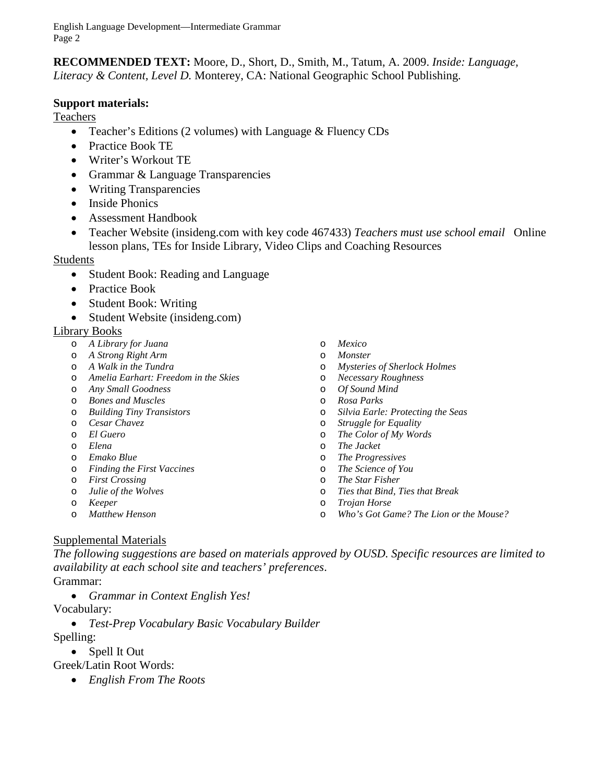**RECOMMENDED TEXT:** Moore, D., Short, D., Smith, M., Tatum, A. 2009. *Inside: Language, Literacy & Content, Level D.* Monterey, CA: National Geographic School Publishing.

#### **Support materials:**

Teachers

- Teacher's Editions (2 volumes) with Language & Fluency CDs
- Practice Book TE
- Writer's Workout TE
- Grammar & Language Transparencies
- Writing Transparencies
- Inside Phonics
- Assessment Handbook
- Teacher Website (insideng.com with key code 467433) *Teachers must use school email* Online lesson plans, TEs for Inside Library, Video Clips and Coaching Resources

#### Students

- Student Book: Reading and Language
- Practice Book
- Student Book: Writing
- Student Website (insideng.com)

#### Library Books

- o *A Library for Juana*
- o *A Strong Right Arm*
- o *A Walk in the Tundra*
- o *Amelia Earhart: Freedom in the Skies*
- o *Any Small Goodness*
- o *Bones and Muscles*
- o *Building Tiny Transistors*
- o *Cesar Chavez*
- o *El Guero*
- o *Elena*
- o *Emako Blue*
- o *Finding the First Vaccines*
- o *First Crossing*
- o *Julie of the Wolves*
- o *Keeper*
- o *Matthew Henson*
- o *Mexico*
- o *Monster*
- o *Mysteries of Sherlock Holmes*
- o *Necessary Roughness*
- o *Of Sound Mind*
- o *Rosa Parks*
- o *Silvia Earle: Protecting the Seas*
- **Struggle for Equality**
- o *The Color of My Words*
- o *The Jacket*
- o *The Progressives*
- o *The Science of You*
- o *The Star Fisher*
- o *Ties that Bind, Ties that Break*
- o *Trojan Horse*
- o *Who's Got Game? The Lion or the Mouse?*

#### Supplemental Materials

*The following suggestions are based on materials approved by OUSD. Specific resources are limited to availability at each school site and teachers' preferences*.

#### Grammar:

• *Grammar in Context English Yes!*

#### Vocabulary:

• *Test-Prep Vocabulary Basic Vocabulary Builder*

Spelling:

- Spell It Out
- Greek/Latin Root Words:
	- *English From The Roots*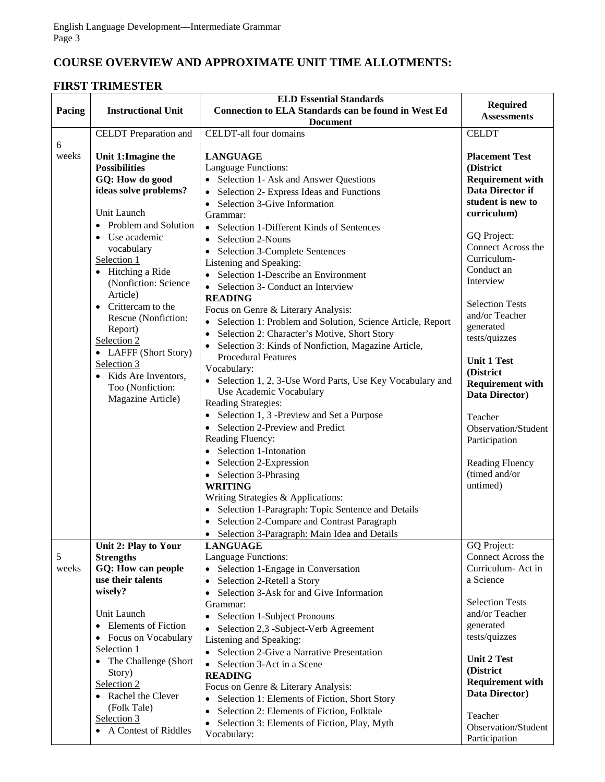# **COURSE OVERVIEW AND APPROXIMATE UNIT TIME ALLOTMENTS:**

## **FIRST TRIMESTER**

|            |                                             | <b>ELD Essential Standards</b>                                                     | <b>Required</b>                    |
|------------|---------------------------------------------|------------------------------------------------------------------------------------|------------------------------------|
| Pacing     | <b>Instructional Unit</b>                   | <b>Connection to ELA Standards can be found in West Ed</b>                         | <b>Assessments</b>                 |
|            |                                             | <b>Document</b>                                                                    |                                    |
|            | CELDT Preparation and                       | CELDT-all four domains                                                             | <b>CELDT</b>                       |
| 6<br>weeks | Unit 1: Imagine the<br><b>Possibilities</b> | <b>LANGUAGE</b><br>Language Functions:                                             | <b>Placement Test</b><br>(District |
|            | GQ: How do good                             | Selection 1- Ask and Answer Questions                                              | <b>Requirement with</b>            |
|            | ideas solve problems?                       | Selection 2- Express Ideas and Functions<br>$\bullet$                              | Data Director if                   |
|            |                                             | Selection 3-Give Information<br>$\bullet$                                          | student is new to                  |
|            | Unit Launch                                 | Grammar:                                                                           | curriculum)                        |
|            | • Problem and Solution                      | Selection 1-Different Kinds of Sentences<br>$\bullet$                              |                                    |
|            | • Use academic                              | Selection 2-Nouns<br>$\bullet$                                                     | GQ Project:                        |
|            | vocabulary                                  | Selection 3-Complete Sentences                                                     | Connect Across the                 |
|            | Selection 1                                 | Listening and Speaking:                                                            | Curriculum-                        |
|            | • Hitching a Ride                           | Selection 1-Describe an Environment                                                | Conduct an                         |
|            | (Nonfiction: Science                        | Selection 3- Conduct an Interview<br>$\bullet$                                     | Interview                          |
|            | Article)                                    | <b>READING</b>                                                                     | <b>Selection Tests</b>             |
|            | Crittercam to the                           | Focus on Genre & Literary Analysis:                                                | and/or Teacher                     |
|            | Rescue (Nonfiction:                         | Selection 1: Problem and Solution, Science Article, Report<br>$\bullet$            | generated                          |
|            | Report)<br>Selection 2                      | Selection 2: Character's Motive, Short Story<br>$\bullet$                          | tests/quizzes                      |
|            | • LAFFF (Short Story)                       | Selection 3: Kinds of Nonfiction, Magazine Article,                                |                                    |
|            | Selection 3                                 | <b>Procedural Features</b>                                                         | <b>Unit 1 Test</b>                 |
|            | Kids Are Inventors,                         | Vocabulary:                                                                        | (District                          |
|            | Too (Nonfiction:                            | Selection 1, 2, 3-Use Word Parts, Use Key Vocabulary and                           | <b>Requirement with</b>            |
|            | Magazine Article)                           | Use Academic Vocabulary<br>Reading Strategies:                                     | Data Director)                     |
|            |                                             | Selection 1, 3 -Preview and Set a Purpose<br>$\bullet$                             |                                    |
|            |                                             | Selection 2-Preview and Predict                                                    | Teacher<br>Observation/Student     |
|            |                                             | Reading Fluency:                                                                   | Participation                      |
|            |                                             | • Selection 1-Intonation                                                           |                                    |
|            |                                             | Selection 2-Expression                                                             | <b>Reading Fluency</b>             |
|            |                                             | Selection 3-Phrasing<br>$\bullet$                                                  | (timed and/or                      |
|            |                                             | <b>WRITING</b>                                                                     | untimed)                           |
|            |                                             | Writing Strategies & Applications:                                                 |                                    |
|            |                                             | • Selection 1-Paragraph: Topic Sentence and Details                                |                                    |
|            |                                             | Selection 2-Compare and Contrast Paragraph                                         |                                    |
|            |                                             | • Selection 3-Paragraph: Main Idea and Details                                     |                                    |
|            | Unit 2: Play to Your                        | <b>LANGUAGE</b>                                                                    | GQ Project:                        |
| 5          | <b>Strengths</b>                            | Language Functions:                                                                | Connect Across the                 |
| weeks      | GQ: How can people                          | Selection 1-Engage in Conversation                                                 | Curriculum- Act in                 |
|            | use their talents<br>wisely?                | Selection 2-Retell a Story<br>$\bullet$                                            | a Science                          |
|            |                                             | Selection 3-Ask for and Give Information<br>$\bullet$                              | <b>Selection Tests</b>             |
|            | Unit Launch                                 | Grammar:                                                                           | and/or Teacher                     |
|            | <b>Elements of Fiction</b>                  | Selection 1-Subject Pronouns<br>$\bullet$<br>Selection 2,3 -Subject-Verb Agreement | generated                          |
|            | • Focus on Vocabulary                       | Listening and Speaking:                                                            | tests/quizzes                      |
|            | Selection 1                                 | • Selection 2-Give a Narrative Presentation                                        |                                    |
|            | • The Challenge (Short                      | Selection 3-Act in a Scene<br>$\bullet$                                            | <b>Unit 2 Test</b>                 |
|            | Story)                                      | <b>READING</b>                                                                     | (District                          |
|            | Selection 2                                 | Focus on Genre & Literary Analysis:                                                | <b>Requirement with</b>            |
|            | • Rachel the Clever                         | Selection 1: Elements of Fiction, Short Story                                      | Data Director)                     |
|            | (Folk Tale)                                 | Selection 2: Elements of Fiction, Folktale<br>$\bullet$                            | Teacher                            |
|            | Selection 3                                 | Selection 3: Elements of Fiction, Play, Myth<br>$\bullet$                          | Observation/Student                |
|            | • A Contest of Riddles                      | Vocabulary:                                                                        | Participation                      |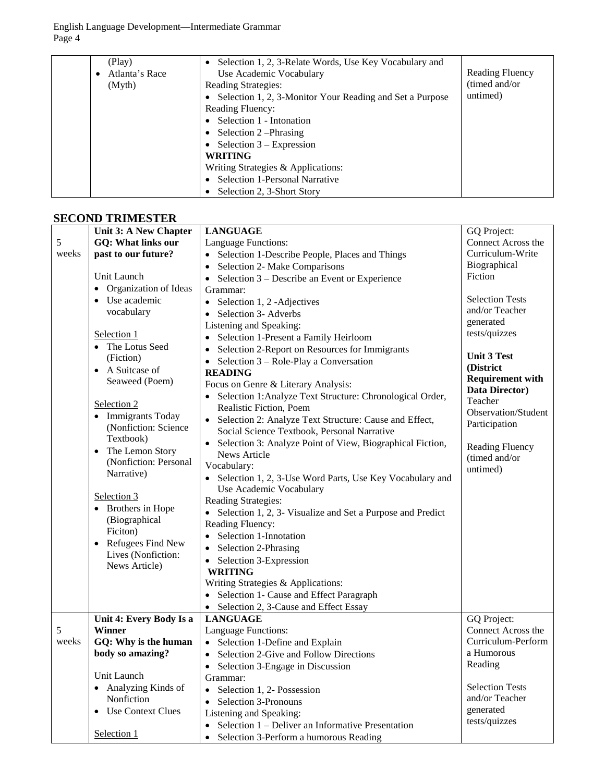| (Play)<br>Atlanta's Race<br>(Myth) | • Selection 1, 2, 3-Relate Words, Use Key Vocabulary and<br>Use Academic Vocabulary<br>Reading Strategies:<br>• Selection 1, 2, 3-Monitor Your Reading and Set a Purpose<br><b>Reading Fluency:</b> | Reading Fluency<br>(timed and/or)<br>untimed) |
|------------------------------------|-----------------------------------------------------------------------------------------------------------------------------------------------------------------------------------------------------|-----------------------------------------------|
|                                    | Selection 1 - Intonation<br>$\bullet$                                                                                                                                                               |                                               |
|                                    | • Selection $2$ –Phrasing                                                                                                                                                                           |                                               |
|                                    | • Selection $3 -$ Expression                                                                                                                                                                        |                                               |
|                                    | <b>WRITING</b>                                                                                                                                                                                      |                                               |
|                                    | Writing Strategies & Applications:                                                                                                                                                                  |                                               |
|                                    | Selection 1-Personal Narrative<br>$\bullet$                                                                                                                                                         |                                               |
|                                    | Selection 2, 3-Short Story                                                                                                                                                                          |                                               |

## **SECOND TRIMESTER**

|       | Unit 3: A New Chapter     | <b>LANGUAGE</b>                                                       | GQ Project:             |
|-------|---------------------------|-----------------------------------------------------------------------|-------------------------|
| 5     | <b>GQ: What links our</b> | Language Functions:                                                   | Connect Across the      |
| weeks | past to our future?       | • Selection 1-Describe People, Places and Things                      | Curriculum-Write        |
|       |                           | Selection 2- Make Comparisons                                         | Biographical            |
|       | Unit Launch               | Selection 3 – Describe an Event or Experience<br>$\bullet$            | Fiction                 |
|       | • Organization of Ideas   | Grammar:                                                              |                         |
|       | • Use academic            | • Selection 1, 2 - Adjectives                                         | <b>Selection Tests</b>  |
|       | vocabulary                | Selection 3- Adverbs<br>$\bullet$                                     | and/or Teacher          |
|       |                           | Listening and Speaking:                                               | generated               |
|       | Selection 1               | Selection 1-Present a Family Heirloom<br>$\bullet$                    | tests/quizzes           |
|       | • The Lotus Seed          | Selection 2-Report on Resources for Immigrants                        |                         |
|       | (Fiction)                 |                                                                       | <b>Unit 3 Test</b>      |
|       | • A Suitcase of           | Selection 3 – Role-Play a Conversation<br>$\bullet$<br><b>READING</b> | (District               |
|       | Seaweed (Poem)            |                                                                       | <b>Requirement with</b> |
|       |                           | Focus on Genre & Literary Analysis:                                   | Data Director)          |
|       | Selection 2               | • Selection 1: Analyze Text Structure: Chronological Order,           | Teacher                 |
|       | • Immigrants Today        | Realistic Fiction, Poem                                               | Observation/Student     |
|       | (Nonfiction: Science      | • Selection 2: Analyze Text Structure: Cause and Effect,              | Participation           |
|       | Textbook)                 | Social Science Textbook, Personal Narrative                           |                         |
|       | • The Lemon Story         | Selection 3: Analyze Point of View, Biographical Fiction,             | Reading Fluency         |
|       | (Nonfiction: Personal     | News Article                                                          | (timed and/or           |
|       | Narrative)                | Vocabulary:                                                           | untimed)                |
|       |                           | • Selection 1, 2, 3-Use Word Parts, Use Key Vocabulary and            |                         |
|       | Selection 3               | Use Academic Vocabulary                                               |                         |
|       | • Brothers in Hope        | Reading Strategies:                                                   |                         |
|       | (Biographical             | • Selection 1, 2, 3- Visualize and Set a Purpose and Predict          |                         |
|       | Ficiton)                  | Reading Fluency:                                                      |                         |
|       | Refugees Find New         | Selection 1-Innotation<br>$\bullet$                                   |                         |
|       | Lives (Nonfiction:        | Selection 2-Phrasing<br>$\bullet$                                     |                         |
|       | News Article)             | • Selection 3-Expression                                              |                         |
|       |                           | <b>WRITING</b>                                                        |                         |
|       |                           | Writing Strategies & Applications:                                    |                         |
|       |                           | • Selection 1- Cause and Effect Paragraph                             |                         |
|       |                           | • Selection 2, 3-Cause and Effect Essay                               |                         |
|       | Unit 4: Every Body Is a   | <b>LANGUAGE</b>                                                       | GQ Project:             |
| 5     | Winner                    | Language Functions:                                                   | Connect Across the      |
| weeks | GQ: Why is the human      | • Selection 1-Define and Explain                                      | Curriculum-Perform      |
|       | body so amazing?          | Selection 2-Give and Follow Directions                                | a Humorous              |
|       |                           | • Selection 3-Engage in Discussion                                    | Reading                 |
|       | Unit Launch               | Grammar:                                                              |                         |
|       | • Analyzing Kinds of      | Selection 1, 2- Possession                                            | <b>Selection Tests</b>  |
|       | Nonfiction                | Selection 3-Pronouns<br>$\bullet$                                     | and/or Teacher          |
|       | • Use Context Clues       | Listening and Speaking:                                               | generated               |
|       |                           | Selection 1 – Deliver an Informative Presentation                     | tests/quizzes           |
|       | <u>Selection 1</u>        | Selection 3-Perform a humorous Reading<br>$\bullet$                   |                         |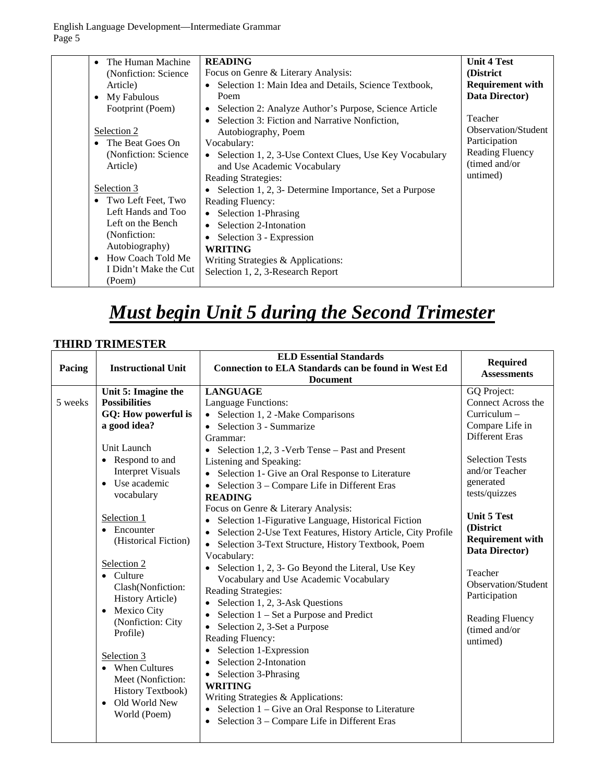| The Human Machine<br>$\bullet$<br>(Nonfiction: Science)<br>Article)<br>• My Fabulous<br>Footprint (Poem)<br>Selection 2<br>• The Beat Goes On<br>(Nonfiction: Science)<br>Article)<br>Selection 3<br>• Two Left Feet, Two<br>Left Hands and Too<br>Left on the Bench | <b>READING</b><br>Focus on Genre & Literary Analysis:<br>Selection 1: Main Idea and Details, Science Textbook,<br>$\bullet$<br>Poem<br>Selection 2: Analyze Author's Purpose, Science Article<br>٠<br>Selection 3: Fiction and Narrative Nonfiction,<br>$\bullet$<br>Autobiography, Poem<br>Vocabulary:<br>Selection 1, 2, 3-Use Context Clues, Use Key Vocabulary<br>and Use Academic Vocabulary<br>Reading Strategies:<br>Selection 1, 2, 3- Determine Importance, Set a Purpose<br><b>Reading Fluency:</b><br>• Selection 1-Phrasing<br>Selection 2-Intonation<br>$\bullet$ | <b>Unit 4 Test</b><br>(District)<br><b>Requirement with</b><br>Data Director)<br>Teacher<br>Observation/Student<br>Participation<br><b>Reading Fluency</b><br>(timed and/or<br>untimed) |
|----------------------------------------------------------------------------------------------------------------------------------------------------------------------------------------------------------------------------------------------------------------------|--------------------------------------------------------------------------------------------------------------------------------------------------------------------------------------------------------------------------------------------------------------------------------------------------------------------------------------------------------------------------------------------------------------------------------------------------------------------------------------------------------------------------------------------------------------------------------|-----------------------------------------------------------------------------------------------------------------------------------------------------------------------------------------|
| (Nonfiction:<br>Autobiography)<br>• How Coach Told Me<br>I Didn't Make the Cut<br>(Poem)                                                                                                                                                                             | Selection 3 - Expression<br><b>WRITING</b><br>Writing Strategies & Applications:<br>Selection 1, 2, 3-Research Report                                                                                                                                                                                                                                                                                                                                                                                                                                                          |                                                                                                                                                                                         |

# *Must begin Unit 5 during the Second Trimester*

## **THIRD TRIMESTER**

|         |                           | <b>ELD Essential Standards</b>                                            | <b>Required</b>         |
|---------|---------------------------|---------------------------------------------------------------------------|-------------------------|
| Pacing  | <b>Instructional Unit</b> | <b>Connection to ELA Standards can be found in West Ed</b>                | <b>Assessments</b>      |
|         |                           | <b>Document</b>                                                           |                         |
|         | Unit 5: Imagine the       | <b>LANGUAGE</b>                                                           | GQ Project:             |
| 5 weeks | <b>Possibilities</b>      | Language Functions:                                                       | Connect Across the      |
|         | GQ: How powerful is       | Selection 1, 2 -Make Comparisons                                          | Curriculum -            |
|         | a good idea?              | Selection 3 - Summarize<br>$\bullet$                                      | Compare Life in         |
|         |                           | Grammar:                                                                  | <b>Different Eras</b>   |
|         | Unit Launch               | Selection 1,2, 3 - Verb Tense – Past and Present                          |                         |
|         | • Respond to and          | Listening and Speaking:                                                   | <b>Selection Tests</b>  |
|         | <b>Interpret Visuals</b>  | Selection 1- Give an Oral Response to Literature                          | and/or Teacher          |
|         | Use academic<br>$\bullet$ | Selection 3 – Compare Life in Different Eras                              | generated               |
|         | vocabulary                | <b>READING</b>                                                            | tests/quizzes           |
|         |                           | Focus on Genre & Literary Analysis:                                       |                         |
|         | Selection 1               | Selection 1-Figurative Language, Historical Fiction<br>$\bullet$          | <b>Unit 5 Test</b>      |
|         | • Encounter               | Selection 2-Use Text Features, History Article, City Profile<br>$\bullet$ | (District               |
|         | (Historical Fiction)      | Selection 3-Text Structure, History Textbook, Poem                        | <b>Requirement with</b> |
|         |                           | Vocabulary:                                                               | Data Director)          |
|         | Selection 2               | Selection 1, 2, 3- Go Beyond the Literal, Use Key                         | Teacher                 |
|         | $\bullet$ Culture         | Vocabulary and Use Academic Vocabulary                                    | Observation/Student     |
|         | Clash(Nonfiction:         | Reading Strategies:                                                       | Participation           |
|         | <b>History Article)</b>   | Selection 1, 2, 3-Ask Questions<br>$\bullet$                              |                         |
|         | Mexico City<br>$\bullet$  | Selection 1 – Set a Purpose and Predict<br>٠                              | Reading Fluency         |
|         | (Nonfiction: City         | Selection 2, 3-Set a Purpose                                              | (timed and/or           |
|         | Profile)                  | Reading Fluency:                                                          | untimed)                |
|         |                           | Selection 1-Expression                                                    |                         |
|         | Selection 3               | Selection 2-Intonation                                                    |                         |
|         | • When Cultures           | Selection 3-Phrasing<br>$\bullet$                                         |                         |
|         | Meet (Nonfiction:         | <b>WRITING</b>                                                            |                         |
|         | <b>History Textbook)</b>  | Writing Strategies & Applications:                                        |                         |
|         | • Old World New           | Selection 1 – Give an Oral Response to Literature                         |                         |
|         | World (Poem)              | Selection 3 - Compare Life in Different Eras                              |                         |
|         |                           |                                                                           |                         |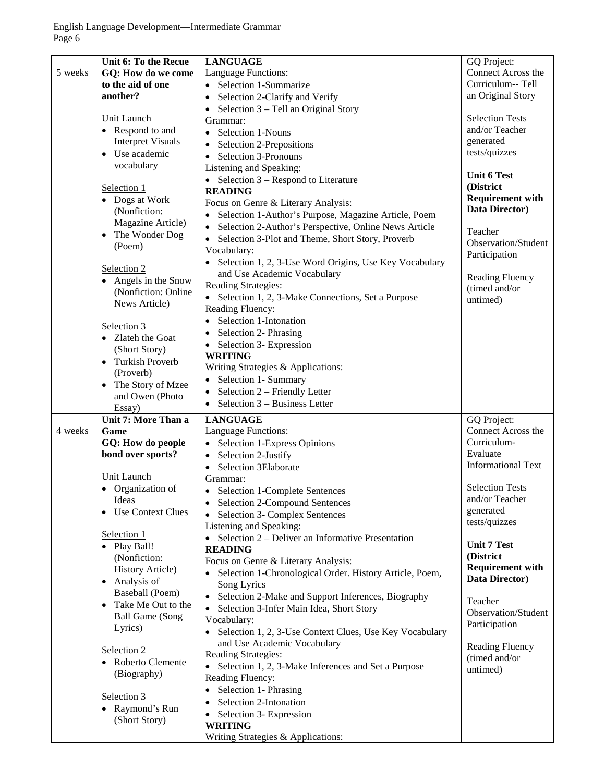|         | Unit 6: To the Recue     | <b>LANGUAGE</b>                                                 | GQ Project:               |
|---------|--------------------------|-----------------------------------------------------------------|---------------------------|
| 5 weeks | GQ: How do we come       | Language Functions:                                             | Connect Across the        |
|         | to the aid of one        | • Selection 1-Summarize                                         | Curriculum-- Tell         |
|         | another?                 | Selection 2-Clarify and Verify<br>$\bullet$                     | an Original Story         |
|         |                          | Selection 3 – Tell an Original Story<br>$\bullet$               |                           |
|         | Unit Launch              | Grammar:                                                        | <b>Selection Tests</b>    |
|         | • Respond to and         | Selection 1-Nouns<br>$\bullet$                                  | and/or Teacher            |
|         | <b>Interpret Visuals</b> |                                                                 | generated                 |
|         | • Use academic           | Selection 2-Prepositions<br>$\bullet$                           | tests/quizzes             |
|         | vocabulary               | Selection 3-Pronouns<br>$\bullet$                               |                           |
|         |                          | Listening and Speaking:                                         | <b>Unit 6 Test</b>        |
|         |                          | • Selection $3 -$ Respond to Literature                         | (District                 |
|         | Selection 1              | <b>READING</b>                                                  |                           |
|         | • Dogs at Work           | Focus on Genre & Literary Analysis:                             | <b>Requirement with</b>   |
|         | (Nonfiction:             | Selection 1-Author's Purpose, Magazine Article, Poem            | Data Director)            |
|         | Magazine Article)        | Selection 2-Author's Perspective, Online News Article           |                           |
|         | The Wonder Dog           | Selection 3-Plot and Theme, Short Story, Proverb<br>$\bullet$   | Teacher                   |
|         | (Poem)                   | Vocabulary:                                                     | Observation/Student       |
|         |                          | • Selection 1, 2, 3-Use Word Origins, Use Key Vocabulary        | Participation             |
|         | Selection 2              | and Use Academic Vocabulary                                     |                           |
|         | • Angels in the Snow     |                                                                 | Reading Fluency           |
|         | (Nonfiction: Online      | Reading Strategies:                                             | (timed and/or             |
|         | News Article)            | • Selection 1, 2, 3-Make Connections, Set a Purpose             | untimed)                  |
|         |                          | Reading Fluency:                                                |                           |
|         | Selection 3              | Selection 1-Intonation<br>$\bullet$                             |                           |
|         | • Zlateh the Goat        | Selection 2- Phrasing<br>$\bullet$                              |                           |
|         | (Short Story)            | Selection 3- Expression<br>$\bullet$                            |                           |
|         | • Turkish Proverb        | <b>WRITING</b>                                                  |                           |
|         |                          | Writing Strategies & Applications:                              |                           |
|         | (Proverb)                | Selection 1- Summary                                            |                           |
|         | • The Story of Mzee      | Selection 2 - Friendly Letter<br>$\bullet$                      |                           |
|         | and Owen (Photo          | Selection 3 – Business Letter<br>$\bullet$                      |                           |
|         | Essay)                   |                                                                 |                           |
|         | Unit 7: More Than a      | <b>LANGUAGE</b>                                                 | GQ Project:               |
| 4 weeks | Game                     | Language Functions:                                             | Connect Across the        |
|         | GQ: How do people        | Selection 1-Express Opinions                                    | Curriculum-               |
|         | bond over sports?        | Selection 2-Justify                                             | Evaluate                  |
|         |                          | Selection 3Elaborate<br>$\bullet$                               | <b>Informational Text</b> |
|         | Unit Launch              | Grammar:                                                        |                           |
|         | • Organization of        | • Selection 1-Complete Sentences                                | <b>Selection Tests</b>    |
|         | Ideas                    | <b>Selection 2-Compound Sentences</b>                           | and/or Teacher            |
|         | <b>Use Context Clues</b> | Selection 3- Complex Sentences                                  | generated                 |
|         |                          | Listening and Speaking:                                         | tests/quizzes             |
|         | Selection 1              | • Selection $2$ – Deliver an Informative Presentation           |                           |
|         | • Play Ball!             | <b>READING</b>                                                  | <b>Unit 7 Test</b>        |
|         | (Nonfiction:             |                                                                 | (District                 |
|         | <b>History Article)</b>  | Focus on Genre & Literary Analysis:                             | <b>Requirement with</b>   |
|         | • Analysis of            | • Selection 1-Chronological Order. History Article, Poem,       | Data Director)            |
|         | Baseball (Poem)          | Song Lyrics                                                     |                           |
|         | • Take Me Out to the     | Selection 2-Make and Support Inferences, Biography<br>$\bullet$ | Teacher                   |
|         | <b>Ball Game (Song</b>   | Selection 3-Infer Main Idea, Short Story                        | Observation/Student       |
|         | Lyrics)                  | Vocabulary:                                                     | Participation             |
|         |                          | • Selection 1, 2, 3-Use Context Clues, Use Key Vocabulary       |                           |
|         |                          | and Use Academic Vocabulary                                     | <b>Reading Fluency</b>    |
|         | Selection 2              | Reading Strategies:                                             | (timed and/or             |
|         | • Roberto Clemente       | • Selection 1, 2, 3-Make Inferences and Set a Purpose           | untimed)                  |
|         | (Biography)              | Reading Fluency:                                                |                           |
|         |                          | Selection 1- Phrasing                                           |                           |
|         | Selection 3              | Selection 2-Intonation                                          |                           |
|         | • Raymond's Run          | Selection 3- Expression                                         |                           |
|         | (Short Story)            | <b>WRITING</b>                                                  |                           |
|         |                          | Writing Strategies & Applications:                              |                           |
|         |                          |                                                                 |                           |